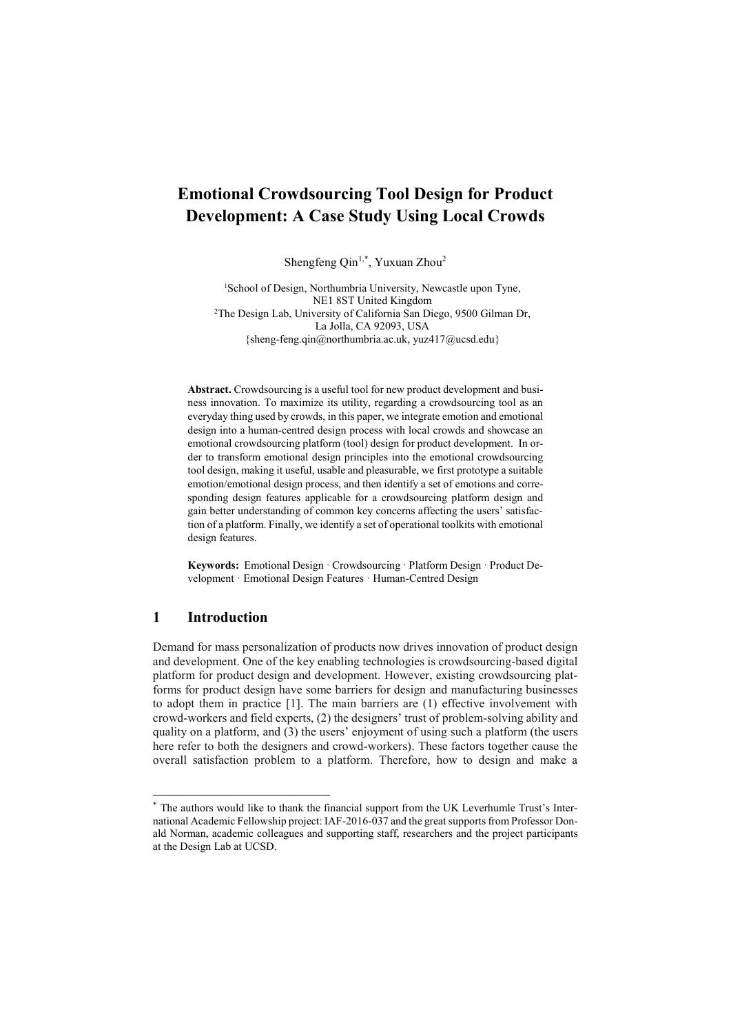# **Emotional Crowdsourcing Tool Design for Product Development: A Case Study Using Local Crowds**

Shengfeng Qin<sup>1,\*</sup>, Yuxuan Zhou<sup>2</sup>

<sup>1</sup>School of Design, Northumbria University, Newcastle upon Tyne, NE1 8ST United Kingdom <sup>2</sup>The Design Lab, University of California San Diego, 9500 Gilman Dr, La Jolla, CA 92093, USA {sheng-feng.qin@northumbria.ac.uk[, yuz417@ucsd.edu}](mailto:yuz417@ucsd.edu)

**Abstract.** Crowdsourcing is a useful tool for new product development and business innovation. To maximize its utility, regarding a crowdsourcing tool as an everyday thing used by crowds, in this paper, we integrate emotion and emotional design into a human-centred design process with local crowds and showcase an emotional crowdsourcing platform (tool) design for product development. In order to transform emotional design principles into the emotional crowdsourcing tool design, making it useful, usable and pleasurable, we first prototype a suitable emotion/emotional design process, and then identify a set of emotions and corresponding design features applicable for a crowdsourcing platform design and gain better understanding of common key concerns affecting the users' satisfaction of a platform. Finally, we identify a set of operational toolkits with emotional design features.

**Keywords:** Emotional Design · Crowdsourcing · Platform Design · Product Development · Emotional Design Features · Human-Centred Design

## **1 Introduction**

1

Demand for mass personalization of products now drives innovation of product design and development. One of the key enabling technologies is crowdsourcing-based digital platform for product design and development. However, existing crowdsourcing platforms for product design have some barriers for design and manufacturing businesses to adopt them in practice [1]. The main barriers are (1) effective involvement with crowd-workers and field experts, (2) the designers' trust of problem-solving ability and quality on a platform, and (3) the users' enjoyment of using such a platform (the users here refer to both the designers and crowd-workers). These factors together cause the overall satisfaction problem to a platform. Therefore, how to design and make a

<sup>\*</sup> The authors would like to thank the financial support from the UK Leverhumle Trust's International Academic Fellowship project: IAF-2016-037 and the great supports from Professor Donald Norman, academic colleagues and supporting staff, researchers and the project participants at the Design Lab at UCSD.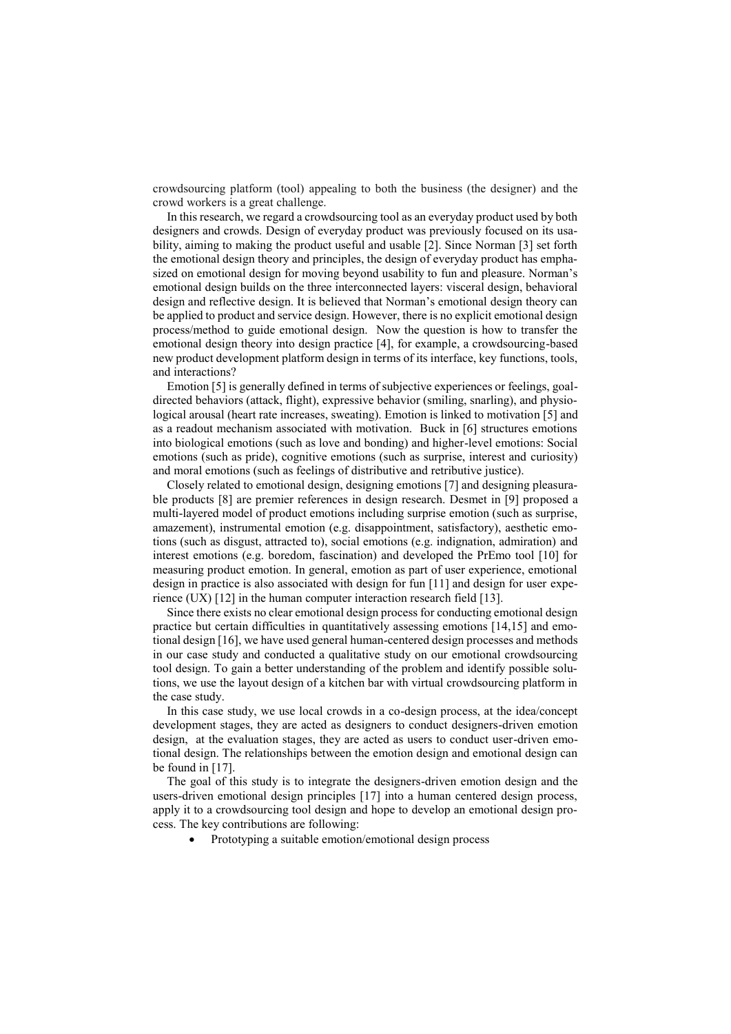crowdsourcing platform (tool) appealing to both the business (the designer) and the crowd workers is a great challenge.

In this research, we regard a crowdsourcing tool as an everyday product used by both designers and crowds. Design of everyday product was previously focused on its usability, aiming to making the product useful and usable [2]. Since Norman [3] set forth the emotional design theory and principles, the design of everyday product has emphasized on emotional design for moving beyond usability to fun and pleasure. Norman's emotional design builds on the three interconnected layers: visceral design, behavioral design and reflective design. It is believed that Norman's emotional design theory can be applied to product and service design. However, there is no explicit emotional design process/method to guide emotional design. Now the question is how to transfer the emotional design theory into design practice [4], for example, a crowdsourcing-based new product development platform design in terms of its interface, key functions, tools, and interactions?

Emotion [5] is generally defined in terms of subjective experiences or feelings, goaldirected behaviors (attack, flight), expressive behavior (smiling, snarling), and physiological arousal (heart rate increases, sweating). Emotion is linked to motivation [5] and as a readout mechanism associated with motivation. Buck in [6] structures emotions into biological emotions (such as love and bonding) and higher-level emotions: Social emotions (such as pride), cognitive emotions (such as surprise, interest and curiosity) and moral emotions (such as feelings of distributive and retributive justice).

Closely related to emotional design, designing emotions [7] and designing pleasurable products [8] are premier references in design research. Desmet in [9] proposed a multi-layered model of product emotions including surprise emotion (such as surprise, amazement), instrumental emotion (e.g. disappointment, satisfactory), aesthetic emotions (such as disgust, attracted to), social emotions (e.g. indignation, admiration) and interest emotions (e.g. boredom, fascination) and developed the PrEmo tool [10] for measuring product emotion. In general, emotion as part of user experience, emotional design in practice is also associated with design for fun [11] and design for user experience (UX) [12] in the human computer interaction research field [13].

Since there exists no clear emotional design process for conducting emotional design practice but certain difficulties in quantitatively assessing emotions [14,15] and emotional design [16], we have used general human-centered design processes and methods in our case study and conducted a qualitative study on our emotional crowdsourcing tool design. To gain a better understanding of the problem and identify possible solutions, we use the layout design of a kitchen bar with virtual crowdsourcing platform in the case study.

In this case study, we use local crowds in a co-design process, at the idea/concept development stages, they are acted as designers to conduct designers-driven emotion design, at the evaluation stages, they are acted as users to conduct user-driven emotional design. The relationships between the emotion design and emotional design can be found in [17].

The goal of this study is to integrate the designers-driven emotion design and the users-driven emotional design principles [17] into a human centered design process, apply it to a crowdsourcing tool design and hope to develop an emotional design process. The key contributions are following:

Prototyping a suitable emotion/emotional design process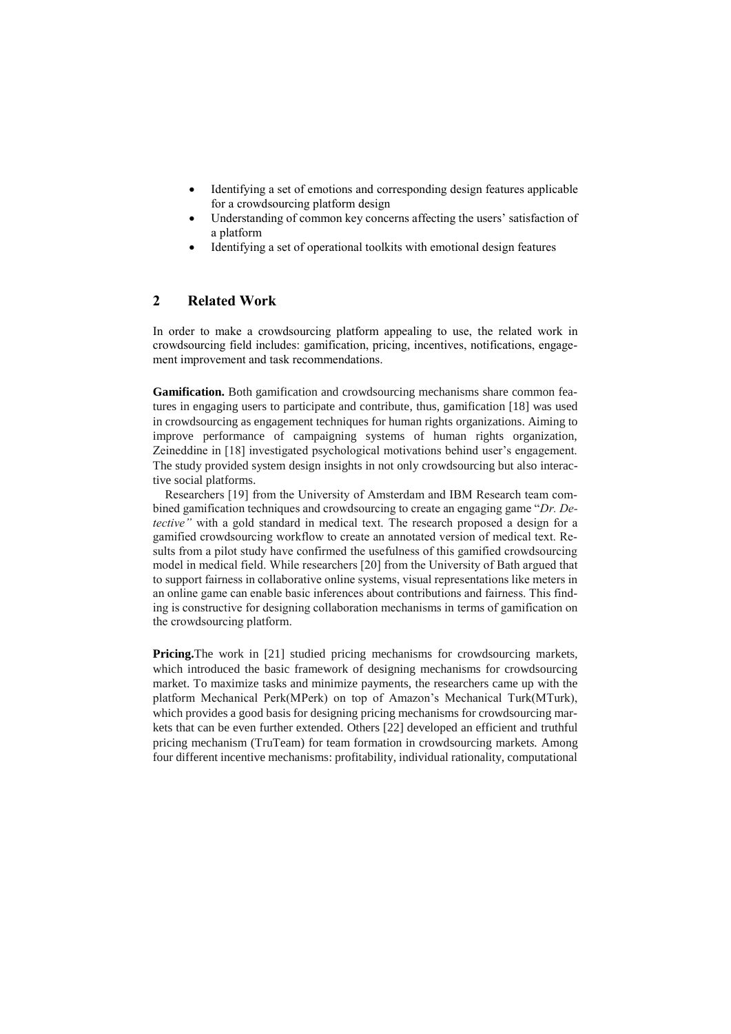- Identifying a set of emotions and corresponding design features applicable for a crowdsourcing platform design
- Understanding of common key concerns affecting the users' satisfaction of a platform
- Identifying a set of operational toolkits with emotional design features

## **2 Related Work**

In order to make a crowdsourcing platform appealing to use, the related work in crowdsourcing field includes: gamification, pricing, incentives, notifications, engagement improvement and task recommendations.

**Gamification.** Both gamification and crowdsourcing mechanisms share common features in engaging users to participate and contribute, thus, gamification [18] was used in crowdsourcing as engagement techniques for human rights organizations. Aiming to improve performance of campaigning systems of human rights organization, Zeineddine in [18] investigated psychological motivations behind user's engagement. The study provided system design insights in not only crowdsourcing but also interactive social platforms.

Researchers [19] from the University of Amsterdam and IBM Research team combined gamification techniques and crowdsourcing to create an engaging game "*Dr. Detective"* with a gold standard in medical text. The research proposed a design for a gamified crowdsourcing workflow to create an annotated version of medical text. Results from a pilot study have confirmed the usefulness of this gamified crowdsourcing model in medical field. While researchers [20] from the University of Bath argued that to support fairness in collaborative online systems, visual representations like meters in an online game can enable basic inferences about contributions and fairness. This finding is constructive for designing collaboration mechanisms in terms of gamification on the crowdsourcing platform.

**Pricing.**The work in [21] studied pricing mechanisms for crowdsourcing markets*,*  which introduced the basic framework of designing mechanisms for crowdsourcing market. To maximize tasks and minimize payments, the researchers came up with the platform Mechanical Perk(MPerk) on top of Amazon's Mechanical Turk(MTurk), which provides a good basis for designing pricing mechanisms for crowdsourcing markets that can be even further extended. Others [22] developed an efficient and truthful pricing mechanism (TruTeam) for team formation in crowdsourcing market*s.* Among four different incentive mechanisms: profitability, individual rationality, computational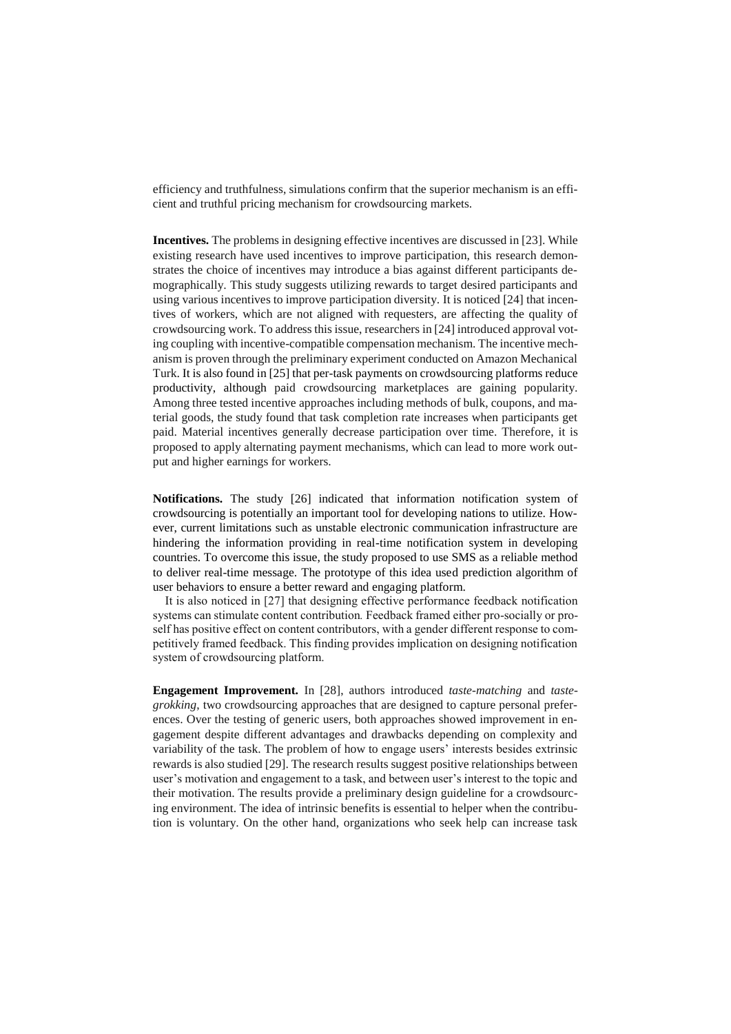efficiency and truthfulness, simulations confirm that the superior mechanism is an efficient and truthful pricing mechanism for crowdsourcing markets.

**Incentives.** The problems in designing effective incentives are discussed in [23]. While existing research have used incentives to improve participation, this research demonstrates the choice of incentives may introduce a bias against different participants demographically. This study suggests utilizing rewards to target desired participants and using various incentives to improve participation diversity. It is noticed [24] that incentives of workers, which are not aligned with requesters, are affecting the quality of crowdsourcing work. To address this issue, researchers in [24] introduced approval voting coupling with incentive-compatible compensation mechanism. The incentive mechanism is proven through the preliminary experiment conducted on Amazon Mechanical Turk. It is also found in [25] that per-task payments on crowdsourcing platforms reduce productivity, although paid crowdsourcing marketplaces are gaining popularity. Among three tested incentive approaches including methods of bulk, coupons, and material goods, the study found that task completion rate increases when participants get paid. Material incentives generally decrease participation over time. Therefore, it is proposed to apply alternating payment mechanisms, which can lead to more work output and higher earnings for workers.

**Notifications.** The study [26] indicated that information notification system of crowdsourcing is potentially an important tool for developing nations to utilize. However, current limitations such as unstable electronic communication infrastructure are hindering the information providing in real-time notification system in developing countries. To overcome this issue, the study proposed to use SMS as a reliable method to deliver real-time message. The prototype of this idea used prediction algorithm of user behaviors to ensure a better reward and engaging platform.

It is also noticed in [27] that designing effective performance feedback notification systems can stimulate content contribution*.* Feedback framed either pro-socially or proself has positive effect on content contributors, with a gender different response to competitively framed feedback. This finding provides implication on designing notification system of crowdsourcing platform.

**Engagement Improvement.** In [28], authors introduced *taste-matching* and *tastegrokking*, two crowdsourcing approaches that are designed to capture personal preferences. Over the testing of generic users, both approaches showed improvement in engagement despite different advantages and drawbacks depending on complexity and variability of the task. The problem of how to engage users' interests besides extrinsic rewards is also studied [29]. The research results suggest positive relationships between user's motivation and engagement to a task, and between user's interest to the topic and their motivation. The results provide a preliminary design guideline for a crowdsourcing environment. The idea of intrinsic benefits is essential to helper when the contribution is voluntary. On the other hand, organizations who seek help can increase task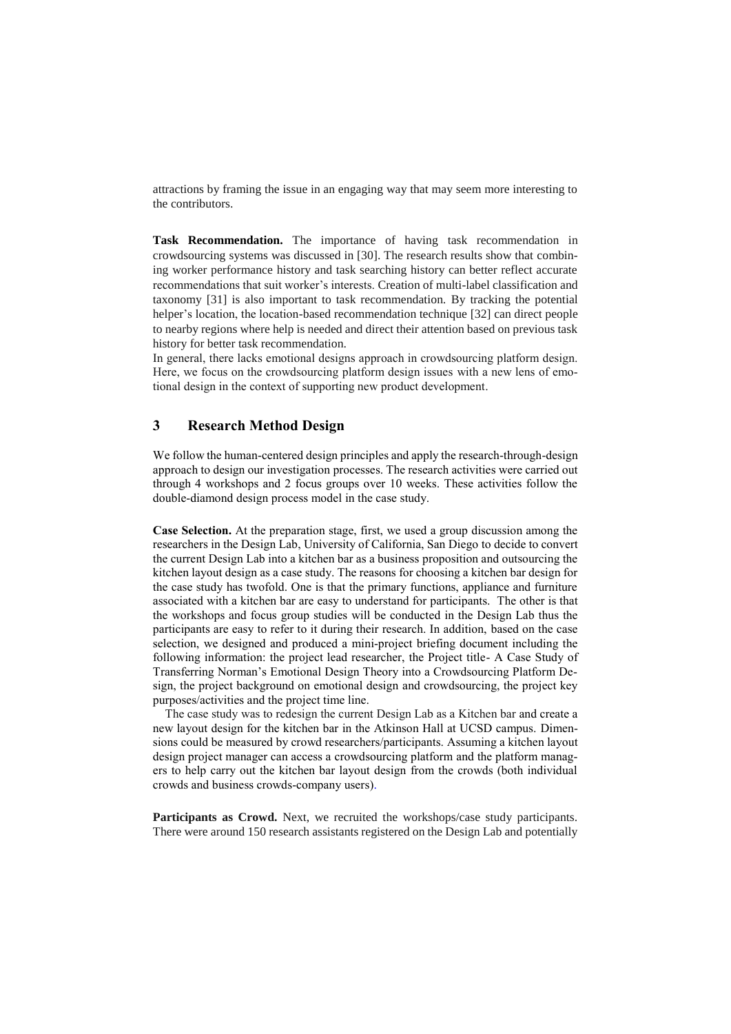attractions by framing the issue in an engaging way that may seem more interesting to the contributors.

**Task Recommendation.** The importance of having task recommendation in crowdsourcing systems was discussed in [30]. The research results show that combining worker performance history and task searching history can better reflect accurate recommendations that suit worker's interests. Creation of multi-label classification and taxonomy [31] is also important to task recommendation*.* By tracking the potential helper's location, the location-based recommendation technique [32] can direct people to nearby regions where help is needed and direct their attention based on previous task history for better task recommendation.

In general, there lacks emotional designs approach in crowdsourcing platform design. Here, we focus on the crowdsourcing platform design issues with a new lens of emotional design in the context of supporting new product development.

# **3 Research Method Design**

We follow the human-centered design principles and apply the research-through-design approach to design our investigation processes. The research activities were carried out through 4 workshops and 2 focus groups over 10 weeks. These activities follow the double-diamond design process model in the case study.

**Case Selection.** At the preparation stage, first, we used a group discussion among the researchers in the Design Lab, University of California, San Diego to decide to convert the current Design Lab into a kitchen bar as a business proposition and outsourcing the kitchen layout design as a case study. The reasons for choosing a kitchen bar design for the case study has twofold. One is that the primary functions, appliance and furniture associated with a kitchen bar are easy to understand for participants. The other is that the workshops and focus group studies will be conducted in the Design Lab thus the participants are easy to refer to it during their research. In addition, based on the case selection, we designed and produced a mini-project briefing document including the following information: the project lead researcher, the Project title- A Case Study of Transferring Norman's Emotional Design Theory into a Crowdsourcing Platform Design, the project background on emotional design and crowdsourcing, the project key purposes/activities and the project time line.

The case study was to redesign the current Design Lab as a Kitchen bar and create a new layout design for the kitchen bar in the Atkinson Hall at UCSD campus. Dimensions could be measured by crowd researchers/participants. Assuming a kitchen layout design project manager can access a crowdsourcing platform and the platform managers to help carry out the kitchen bar layout design from the crowds (both individual crowds and business crowds-company users).

**Participants as Crowd.** Next, we recruited the workshops/case study participants. There were around 150 research assistants registered on the Design Lab and potentially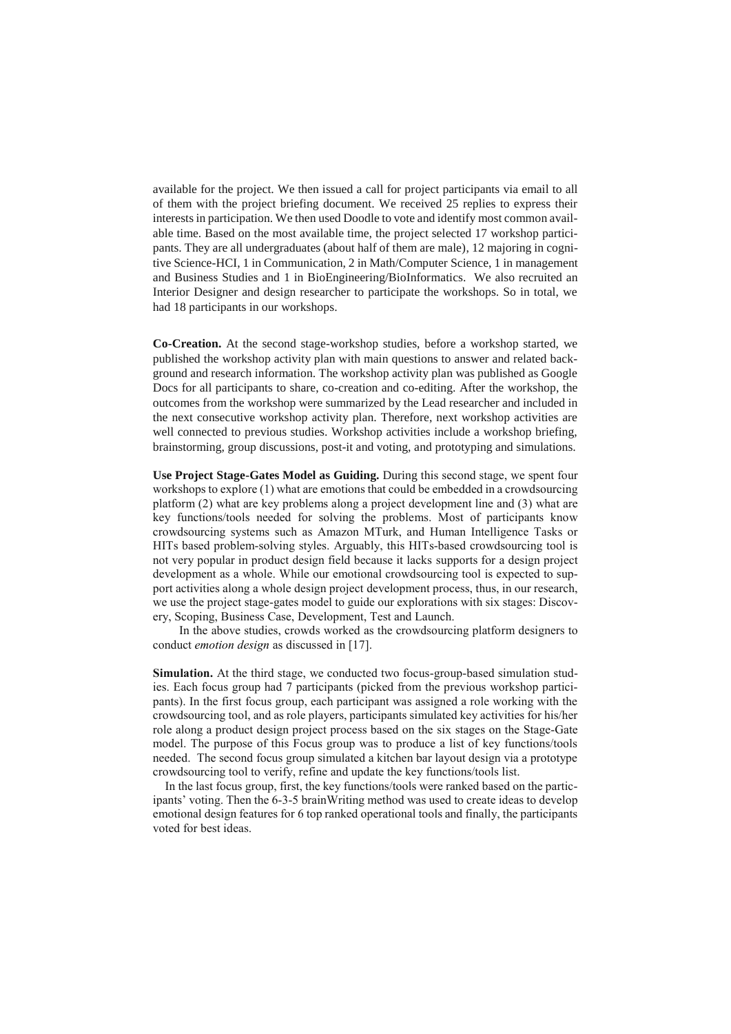available for the project. We then issued a call for project participants via email to all of them with the project briefing document. We received 25 replies to express their interests in participation. We then used Doodle to vote and identify most common available time. Based on the most available time, the project selected 17 workshop participants. They are all undergraduates (about half of them are male), 12 majoring in cognitive Science-HCI, 1 in Communication, 2 in Math/Computer Science, 1 in management and Business Studies and 1 in BioEngineering/BioInformatics. We also recruited an Interior Designer and design researcher to participate the workshops. So in total, we had 18 participants in our workshops.

**Co-Creation.** At the second stage-workshop studies, before a workshop started, we published the workshop activity plan with main questions to answer and related background and research information. The workshop activity plan was published as Google Docs for all participants to share, co-creation and co-editing. After the workshop, the outcomes from the workshop were summarized by the Lead researcher and included in the next consecutive workshop activity plan. Therefore, next workshop activities are well connected to previous studies. Workshop activities include a workshop briefing, brainstorming, group discussions, post-it and voting, and prototyping and simulations.

**Use Project Stage-Gates Model as Guiding.** During this second stage, we spent four workshops to explore (1) what are emotions that could be embedded in a crowdsourcing platform (2) what are key problems along a project development line and (3) what are key functions/tools needed for solving the problems. Most of participants know crowdsourcing systems such as Amazon MTurk, and Human Intelligence Tasks or HITs based problem-solving styles. Arguably, this HITs-based crowdsourcing tool is not very popular in product design field because it lacks supports for a design project development as a whole. While our emotional crowdsourcing tool is expected to support activities along a whole design project development process, thus, in our research, we use the project stage-gates model to guide our explorations with six stages: Discovery, Scoping, Business Case, Development, Test and Launch.

 In the above studies, crowds worked as the crowdsourcing platform designers to conduct *emotion design* as discussed in [17].

**Simulation.** At the third stage, we conducted two focus-group-based simulation studies. Each focus group had 7 participants (picked from the previous workshop participants). In the first focus group, each participant was assigned a role working with the crowdsourcing tool, and as role players, participants simulated key activities for his/her role along a product design project process based on the six stages on the Stage-Gate model. The purpose of this Focus group was to produce a list of key functions/tools needed. The second focus group simulated a kitchen bar layout design via a prototype crowdsourcing tool to verify, refine and update the key functions/tools list.

In the last focus group, first, the key functions/tools were ranked based on the participants' voting. Then the 6-3-5 brainWriting method was used to create ideas to develop emotional design features for 6 top ranked operational tools and finally, the participants voted for best ideas.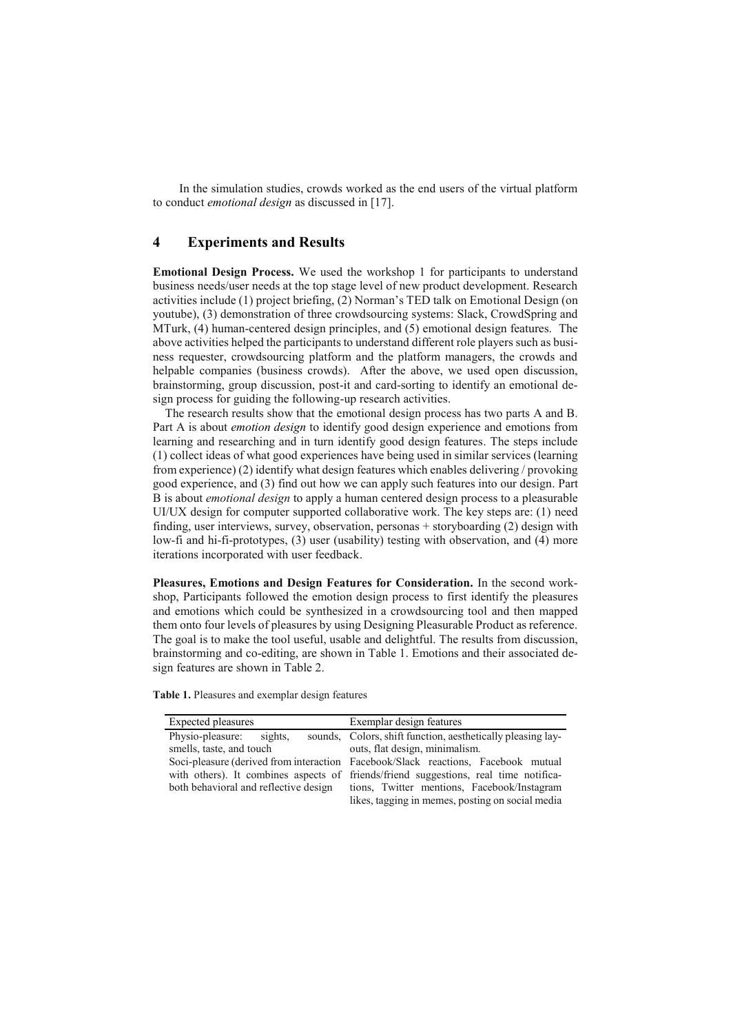In the simulation studies, crowds worked as the end users of the virtual platform to conduct *emotional design* as discussed in [17].

## **4 Experiments and Results**

**Emotional Design Process.** We used the workshop 1 for participants to understand business needs/user needs at the top stage level of new product development. Research activities include (1) project briefing, (2) Norman's TED talk on Emotional Design (on youtube), (3) demonstration of three crowdsourcing systems: Slack, CrowdSpring and MTurk, (4) human-centered design principles, and (5) emotional design features. The above activities helped the participants to understand different role players such as business requester, crowdsourcing platform and the platform managers, the crowds and helpable companies (business crowds). After the above, we used open discussion, brainstorming, group discussion, post-it and card-sorting to identify an emotional design process for guiding the following-up research activities.

The research results show that the emotional design process has two parts A and B. Part A is about *emotion design* to identify good design experience and emotions from learning and researching and in turn identify good design features. The steps include (1) collect ideas of what good experiences have being used in similar services (learning from experience) (2) identify what design features which enables delivering / provoking good experience, and (3) find out how we can apply such features into our design. Part B is about *emotional design* to apply a human centered design process to a pleasurable UI/UX design for computer supported collaborative work. The key steps are: (1) need finding, user interviews, survey, observation, personas + storyboarding (2) design with low-fi and hi-fi-prototypes, (3) user (usability) testing with observation, and (4) more iterations incorporated with user feedback.

**Pleasures, Emotions and Design Features for Consideration.** In the second workshop, Participants followed the emotion design process to first identify the pleasures and emotions which could be synthesized in a crowdsourcing tool and then mapped them onto four levels of pleasures by using Designing Pleasurable Product as reference. The goal is to make the tool useful, usable and delightful. The results from discussion, brainstorming and co-editing, are shown in Table 1. Emotions and their associated design features are shown in Table 2.

**Table 1.** Pleasures and exemplar design features

| Expected pleasures                    | Exemplar design features                                                             |
|---------------------------------------|--------------------------------------------------------------------------------------|
| Physio-pleasure: sights,              | sounds, Colors, shift function, aesthetically pleasing lay-                          |
| smells, taste, and touch              | outs, flat design, minimalism.                                                       |
|                                       | Soci-pleasure (derived from interaction Facebook/Slack reactions, Facebook mutual    |
|                                       | with others). It combines aspects of friends/friend suggestions, real time notifica- |
| both behavioral and reflective design | tions, Twitter mentions, Facebook/Instagram                                          |
|                                       | likes, tagging in memes, posting on social media                                     |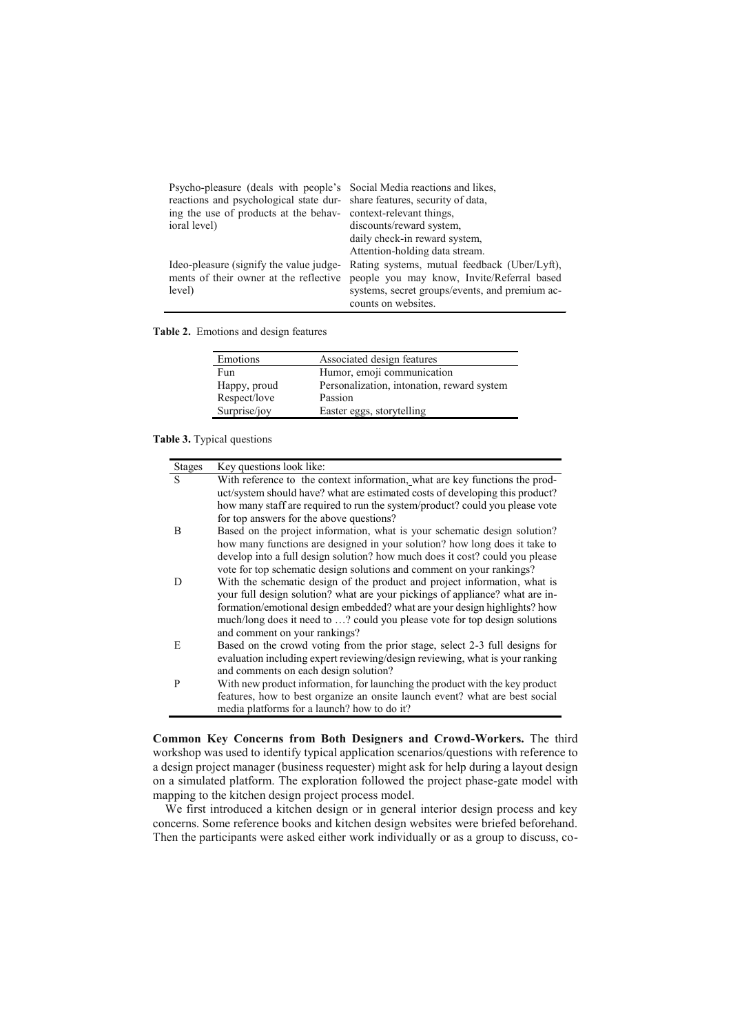| Psycho-pleasure (deals with people's Social Media reactions and likes,                      | context-relevant things.                                                                                                                                            |
|---------------------------------------------------------------------------------------------|---------------------------------------------------------------------------------------------------------------------------------------------------------------------|
| reactions and psychological state dur-share features, security of data,                     | discounts/reward system,                                                                                                                                            |
| ing the use of products at the behav-                                                       | daily check-in reward system,                                                                                                                                       |
| ioral level)                                                                                | Attention-holding data stream.                                                                                                                                      |
| Ideo-pleasure (signify the value judge-<br>ments of their owner at the reflective<br>level) | Rating systems, mutual feedback (Uber/Lyft),<br>people you may know, Invite/Referral based<br>systems, secret groups/events, and premium ac-<br>counts on websites. |

**Table 2.** Emotions and design features

| Emotions     | Associated design features                 |
|--------------|--------------------------------------------|
| Fun          | Humor, emoji communication                 |
| Happy, proud | Personalization, intonation, reward system |
| Respect/love | Passion                                    |
| Surprise/joy | Easter eggs, storytelling                  |

**Table 3.** Typical questions

| <b>Stages</b> | Key questions look like:                                                     |
|---------------|------------------------------------------------------------------------------|
| S             | With reference to the context information, what are key functions the prod-  |
|               | uct/system should have? what are estimated costs of developing this product? |
|               | how many staff are required to run the system/product? could you please vote |
|               | for top answers for the above questions?                                     |
| B             | Based on the project information, what is your schematic design solution?    |
|               | how many functions are designed in your solution? how long does it take to   |
|               | develop into a full design solution? how much does it cost? could you please |
|               | vote for top schematic design solutions and comment on your rankings?        |
| D             | With the schematic design of the product and project information, what is    |
|               | your full design solution? what are your pickings of appliance? what are in- |
|               | formation/emotional design embedded? what are your design highlights? how    |
|               | much/long does it need to ? could you please vote for top design solutions   |
|               | and comment on your rankings?                                                |
| E             | Based on the crowd voting from the prior stage, select 2-3 full designs for  |
|               | evaluation including expert reviewing/design reviewing, what is your ranking |
|               | and comments on each design solution?                                        |
| P             | With new product information, for launching the product with the key product |
|               | features, how to best organize an onsite launch event? what are best social  |
|               | media platforms for a launch? how to do it?                                  |

**Common Key Concerns from Both Designers and Crowd-Workers.** The third workshop was used to identify typical application scenarios/questions with reference to a design project manager (business requester) might ask for help during a layout design on a simulated platform. The exploration followed the project phase-gate model with mapping to the kitchen design project process model.

We first introduced a kitchen design or in general interior design process and key concerns. Some reference books and kitchen design websites were briefed beforehand. Then the participants were asked either work individually or as a group to discuss, co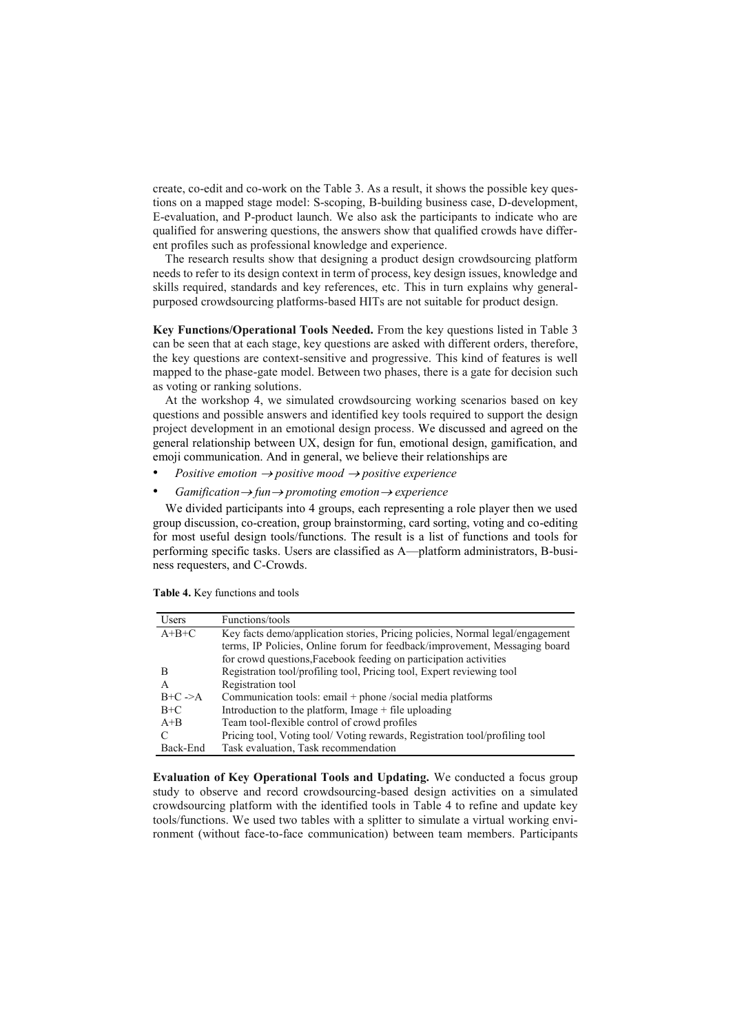create, co-edit and co-work on the Table 3. As a result, it shows the possible key questions on a mapped stage model: S-scoping, B-building business case, D-development, E-evaluation, and P-product launch. We also ask the participants to indicate who are qualified for answering questions, the answers show that qualified crowds have different profiles such as professional knowledge and experience.

The research results show that designing a product design crowdsourcing platform needs to refer to its design context in term of process, key design issues, knowledge and skills required, standards and key references, etc. This in turn explains why generalpurposed crowdsourcing platforms-based HITs are not suitable for product design.

**Key Functions/Operational Tools Needed.** From the key questions listed in Table 3 can be seen that at each stage, key questions are asked with different orders, therefore, the key questions are context-sensitive and progressive. This kind of features is well mapped to the phase-gate model. Between two phases, there is a gate for decision such as voting or ranking solutions.

At the workshop 4, we simulated crowdsourcing working scenarios based on key questions and possible answers and identified key tools required to support the design project development in an emotional design process. We discussed and agreed on the general relationship between UX, design for fun, emotional design, gamification, and emoji communication. And in general, we believe their relationships are

- *Positive emotion*  $\rightarrow$  *positive mood*  $\rightarrow$  *positive experience*
- *Gamification*  $\rightarrow$  *fun*  $\rightarrow$  *promoting emotion*  $\rightarrow$  *experience*

 We divided participants into 4 groups, each representing a role player then we used group discussion, co-creation, group brainstorming, card sorting, voting and co-editing for most useful design tools/functions. The result is a list of functions and tools for performing specific tasks. Users are classified as A—platform administrators, B-business requesters, and C-Crowds.

| Users               | Functions/tools                                                               |
|---------------------|-------------------------------------------------------------------------------|
| $A+B+C$             | Key facts demo/application stories, Pricing policies, Normal legal/engagement |
|                     | terms, IP Policies, Online forum for feedback/improvement, Messaging board    |
|                     | for crowd questions, Facebook feeding on participation activities             |
| в                   | Registration tool/profiling tool, Pricing tool, Expert reviewing tool         |
| A                   | Registration tool                                                             |
| $B+C \rightarrow A$ | Communication tools: email + phone /social media platforms                    |
| $B+C$               | Introduction to the platform, Image $+$ file uploading                        |
| $A + B$             | Team tool-flexible control of crowd profiles                                  |
|                     | Pricing tool, Voting tool/Voting rewards, Registration tool/profiling tool    |
| Back-End            | Task evaluation, Task recommendation                                          |

**Table 4.** Key functions and tools

**Evaluation of Key Operational Tools and Updating.** We conducted a focus group study to observe and record crowdsourcing-based design activities on a simulated crowdsourcing platform with the identified tools in Table 4 to refine and update key tools/functions. We used two tables with a splitter to simulate a virtual working environment (without face-to-face communication) between team members. Participants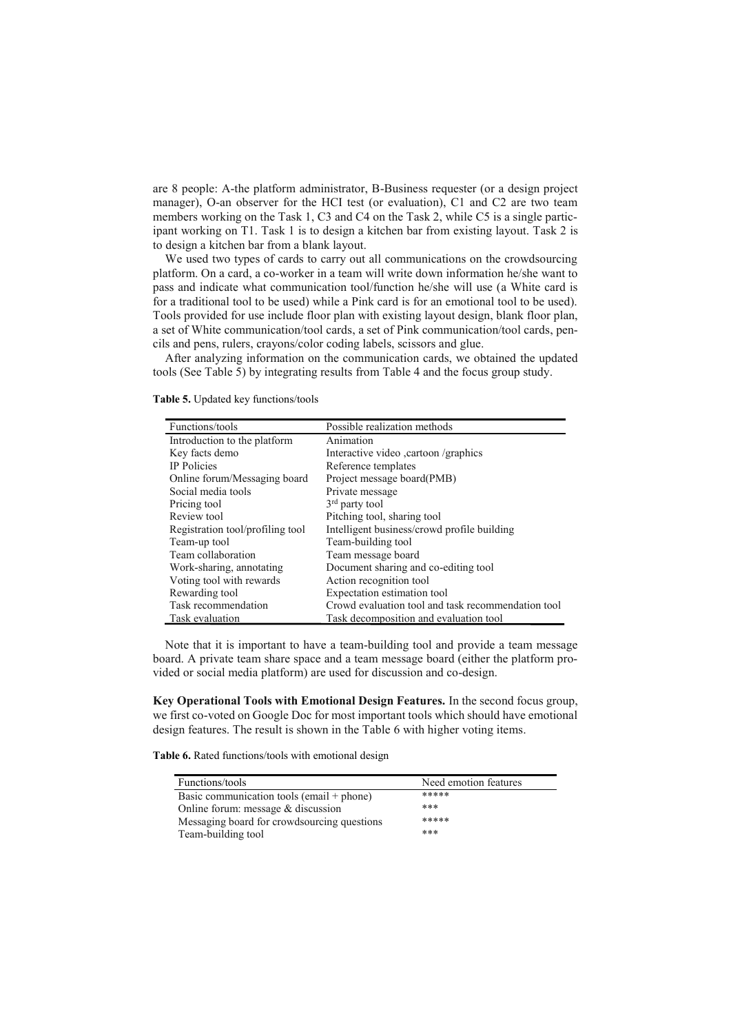are 8 people: A-the platform administrator, B-Business requester (or a design project manager), O-an observer for the HCI test (or evaluation), C1 and C2 are two team members working on the Task 1, C3 and C4 on the Task 2, while C5 is a single participant working on T1. Task 1 is to design a kitchen bar from existing layout. Task 2 is to design a kitchen bar from a blank layout.

We used two types of cards to carry out all communications on the crowdsourcing platform. On a card, a co-worker in a team will write down information he/she want to pass and indicate what communication tool/function he/she will use (a White card is for a traditional tool to be used) while a Pink card is for an emotional tool to be used). Tools provided for use include floor plan with existing layout design, blank floor plan, a set of White communication/tool cards, a set of Pink communication/tool cards, pencils and pens, rulers, crayons/color coding labels, scissors and glue.

After analyzing information on the communication cards, we obtained the updated tools (See Table 5) by integrating results from Table 4 and the focus group study.

| Functions/tools                  | Possible realization methods                       |
|----------------------------------|----------------------------------------------------|
| Introduction to the platform     | Animation                                          |
| Key facts demo                   | Interactive video , cartoon /graphics              |
| <b>IP</b> Policies               | Reference templates                                |
| Online forum/Messaging board     | Project message board(PMB)                         |
| Social media tools               | Private message                                    |
| Pricing tool                     | $3rd$ party tool                                   |
| Review tool                      | Pitching tool, sharing tool                        |
| Registration tool/profiling tool | Intelligent business/crowd profile building        |
| Team-up tool                     | Team-building tool                                 |
| Team collaboration               | Team message board                                 |
| Work-sharing, annotating         | Document sharing and co-editing tool               |
| Voting tool with rewards         | Action recognition tool                            |
| Rewarding tool                   | Expectation estimation tool                        |
| Task recommendation              | Crowd evaluation tool and task recommendation tool |
| Task evaluation                  | Task decomposition and evaluation tool             |

**Table 5.** Updated key functions/tools

Note that it is important to have a team-building tool and provide a team message board. A private team share space and a team message board (either the platform provided or social media platform) are used for discussion and co-design.

**Key Operational Tools with Emotional Design Features.** In the second focus group, we first co-voted on Google Doc for most important tools which should have emotional design features. The result is shown in the Table 6 with higher voting items.

**Table 6.** Rated functions/tools with emotional design

| Functions/tools                             | Need emotion features |
|---------------------------------------------|-----------------------|
| Basic communication tools (email + phone)   | *****                 |
| Online forum: message $&$ discussion        | ***                   |
| Messaging board for crowdsourcing questions | *****                 |
| Team-building tool                          | ***                   |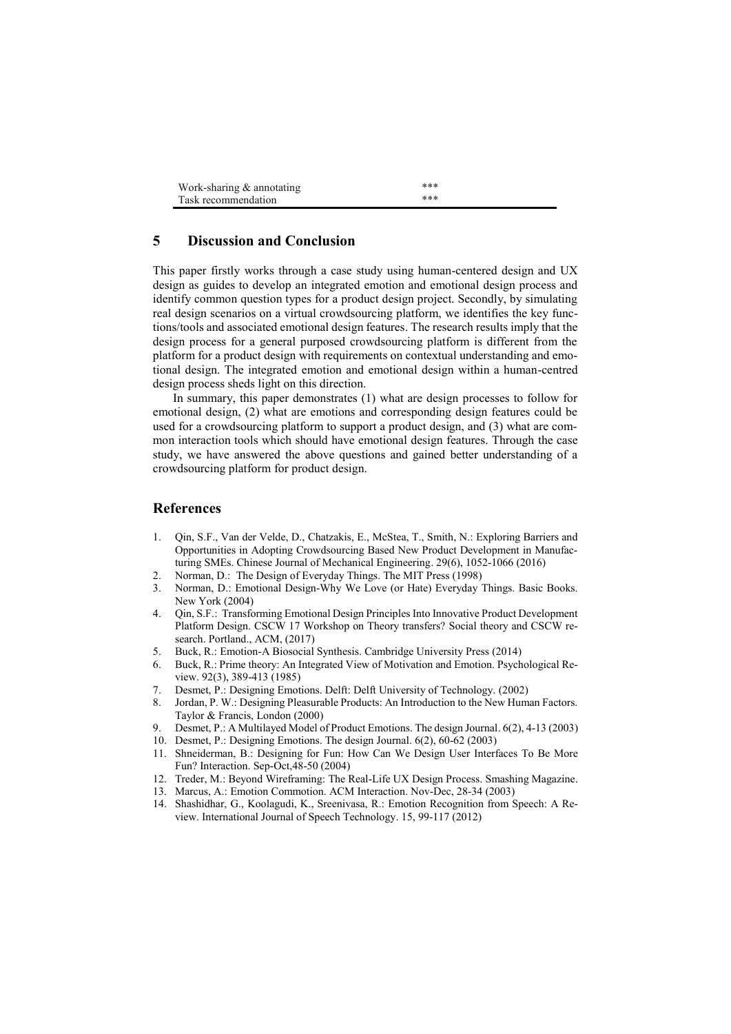| Work-sharing $\&$ annotating | *** |
|------------------------------|-----|
| Task recommendation          | *** |

### **5 Discussion and Conclusion**

This paper firstly works through a case study using human-centered design and UX design as guides to develop an integrated emotion and emotional design process and identify common question types for a product design project. Secondly, by simulating real design scenarios on a virtual crowdsourcing platform, we identifies the key functions/tools and associated emotional design features. The research results imply that the design process for a general purposed crowdsourcing platform is different from the platform for a product design with requirements on contextual understanding and emotional design. The integrated emotion and emotional design within a human-centred design process sheds light on this direction.

 In summary, this paper demonstrates (1) what are design processes to follow for emotional design, (2) what are emotions and corresponding design features could be used for a crowdsourcing platform to support a product design, and (3) what are common interaction tools which should have emotional design features. Through the case study, we have answered the above questions and gained better understanding of a crowdsourcing platform for product design.

## **References**

- 1. Qin, S.F., Van der Velde, D., Chatzakis, E., McStea, T., Smith, N.: Exploring Barriers and Opportunities in Adopting Crowdsourcing Based New Product Development in Manufacturing SMEs. Chinese Journal of Mechanical Engineering. 29(6), 1052-1066 (2016)
- 2. Norman, D.: The Design of Everyday Things. The MIT Press (1998)
- 3. Norman, D.: Emotional Design-Why We Love (or Hate) Everyday Things. Basic Books. New York (2004)
- 4. Qin, S.F.: Transforming Emotional Design Principles Into Innovative Product Development Platform Design. CSCW 17 Workshop on Theory transfers? Social theory and CSCW research. Portland., ACM, (2017)
- 5. Buck, R.: Emotion-A Biosocial Synthesis. Cambridge University Press (2014)
- 6. Buck, R.: Prime theory: An Integrated View of Motivation and Emotion. Psychological Review. 92(3), 389-413 (1985)
- 7. Desmet, P.: Designing Emotions. Delft: Delft University of Technology. (2002)
- 8. Jordan, P. W.: Designing Pleasurable Products: An Introduction to the New Human Factors. Taylor & Francis, London (2000)
- Desmet, P.: A Multilayed Model of Product Emotions. The design Journal. 6(2), 4-13 (2003)
- 10. Desmet, P.: Designing Emotions. The design Journal. 6(2), 60-62 (2003)
- 11. Shneiderman, B.: Designing for Fun: How Can We Design User Interfaces To Be More Fun? Interaction. Sep-Oct,48-50 (2004)
- 12. Treder, M.: Beyond Wireframing: The Real-Life UX Design Process. Smashing Magazine.
- 13. Marcus, A.: Emotion Commotion. ACM Interaction. Nov-Dec, 28-34 (2003)
- 14. Shashidhar, G., Koolagudi, K., Sreenivasa, R.: Emotion Recognition from Speech: A Review. International Journal of Speech Technology. 15, 99-117 (2012)